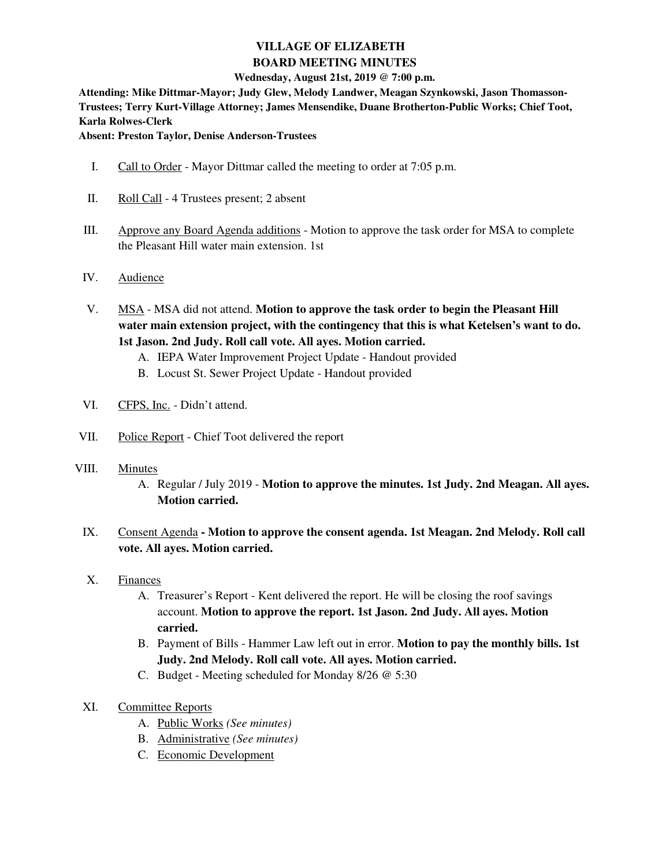# **VILLAGE OF ELIZABETH BOARD MEETING MINUTES**

#### **Wednesday, August 21st, 2019 @ 7:00 p.m.**

**Attending: Mike Dittmar-Mayor; Judy Glew, Melody Landwer, Meagan Szynkowski, Jason Thomasson-Trustees; Terry Kurt-Village Attorney; James Mensendike, Duane Brotherton-Public Works; Chief Toot, Karla Rolwes-Clerk** 

**Absent: Preston Taylor, Denise Anderson-Trustees** 

- I. Call to Order Mayor Dittmar called the meeting to order at 7:05 p.m.
- II. Roll Call 4 Trustees present; 2 absent
- III. Approve any Board Agenda additions Motion to approve the task order for MSA to complete the Pleasant Hill water main extension. 1st
- IV. Audience
- V. MSA MSA did not attend. **Motion to approve the task order to begin the Pleasant Hill water main extension project, with the contingency that this is what Ketelsen's want to do. 1st Jason. 2nd Judy. Roll call vote. All ayes. Motion carried.** 
	- A. IEPA Water Improvement Project Update Handout provided
	- B. Locust St. Sewer Project Update Handout provided
- VI. CFPS, Inc. Didn't attend.
- VII. Police Report Chief Toot delivered the report
- VIII. Minutes
	- A. Regular / July 2019 **Motion to approve the minutes. 1st Judy. 2nd Meagan. All ayes. Motion carried.**
	- IX. Consent Agenda **Motion to approve the consent agenda. 1st Meagan. 2nd Melody. Roll call vote. All ayes. Motion carried.**
	- X. Finances
		- A. Treasurer's Report Kent delivered the report. He will be closing the roof savings account. **Motion to approve the report. 1st Jason. 2nd Judy. All ayes. Motion carried.**
		- B. Payment of Bills Hammer Law left out in error. **Motion to pay the monthly bills. 1st Judy. 2nd Melody. Roll call vote. All ayes. Motion carried.**
		- C. Budget Meeting scheduled for Monday 8/26 @ 5:30
	- XI. Committee Reports
		- A. Public Works *(See minutes)*
		- B. Administrative *(See minutes)*
		- C. Economic Development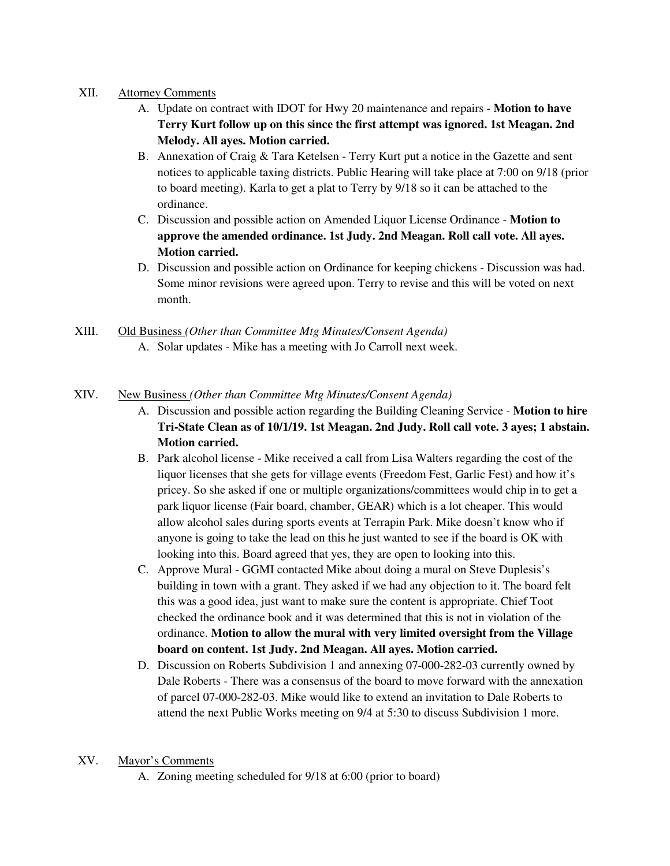## XII. Attorney Comments

- A. Update on contract with IDOT for Hwy 20 maintenance and repairs **Motion to have Terry Kurt follow up on this since the first attempt was ignored. 1st Meagan. 2nd Melody. All ayes. Motion carried.**
- B. Annexation of Craig & Tara Ketelsen Terry Kurt put a notice in the Gazette and sent notices to applicable taxing districts. Public Hearing will take place at 7:00 on 9/18 (prior to board meeting). Karla to get a plat to Terry by 9/18 so it can be attached to the ordinance.
- C. Discussion and possible action on Amended Liquor License Ordinance **Motion to approve the amended ordinance. 1st Judy. 2nd Meagan. Roll call vote. All ayes. Motion carried.**
- D. Discussion and possible action on Ordinance for keeping chickens Discussion was had. Some minor revisions were agreed upon. Terry to revise and this will be voted on next month.
- XIII. Old Business *(Other than Committee Mtg Minutes/Consent Agenda)* A. Solar updates - Mike has a meeting with Jo Carroll next week.

## XIV. New Business *(Other than Committee Mtg Minutes/Consent Agenda)*

- A. Discussion and possible action regarding the Building Cleaning Service **Motion to hire Tri-State Clean as of 10/1/19. 1st Meagan. 2nd Judy. Roll call vote. 3 ayes; 1 abstain. Motion carried.**
- B. Park alcohol license Mike received a call from Lisa Walters regarding the cost of the liquor licenses that she gets for village events (Freedom Fest, Garlic Fest) and how it's pricey. So she asked if one or multiple organizations/committees would chip in to get a park liquor license (Fair board, chamber, GEAR) which is a lot cheaper. This would allow alcohol sales during sports events at Terrapin Park. Mike doesn't know who if anyone is going to take the lead on this he just wanted to see if the board is OK with looking into this. Board agreed that yes, they are open to looking into this.
- C. Approve Mural GGMI contacted Mike about doing a mural on Steve Duplesis's building in town with a grant. They asked if we had any objection to it. The board felt this was a good idea, just want to make sure the content is appropriate. Chief Toot checked the ordinance book and it was determined that this is not in violation of the ordinance. **Motion to allow the mural with very limited oversight from the Village board on content. 1st Judy. 2nd Meagan. All ayes. Motion carried.**
- D. Discussion on Roberts Subdivision 1 and annexing 07-000-282-03 currently owned by Dale Roberts - There was a consensus of the board to move forward with the annexation of parcel 07-000-282-03. Mike would like to extend an invitation to Dale Roberts to attend the next Public Works meeting on 9/4 at 5:30 to discuss Subdivision 1 more.

#### XV. Mayor's Comments

A. Zoning meeting scheduled for 9/18 at 6:00 (prior to board)